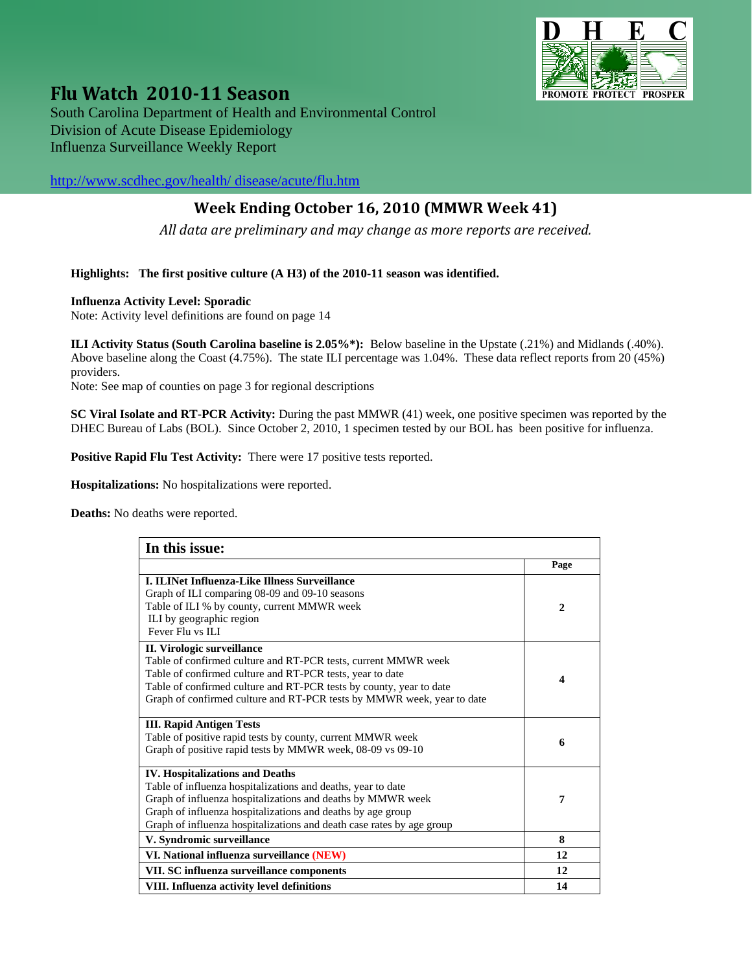

**Flu Watch <sup>2010</sup><sup>11</sup> Season** South Carolina Department of Health and Environmental Control Division of Acute Disease Epidemiology Influenza Surveillance Weekly Report

[http://www.scdhec.gov/health/ disease/acute/flu.htm](http://www.scdhec.gov/health/%20disease/acute/flu.htm) 

# **Week Ending October 16, 2010 (MMWR Week 41)**

*All data are preliminary and may change as more reports are received.*

#### **Highlights: The first positive culture (A H3) of the 2010-11 season was identified.**

#### **Influenza Activity Level: Sporadic**

Note: Activity level definitions are found on page 14

**ILI Activity Status (South Carolina baseline is 2.05%\*):** Below baseline in the Upstate (.21%) and Midlands (.40%). Above baseline along the Coast (4.75%). The state ILI percentage was 1.04%. These data reflect reports from 20 (45%) providers.

Note: See map of counties on page 3 for regional descriptions

**SC Viral Isolate and RT-PCR Activity:** During the past MMWR (41) week, one positive specimen was reported by the DHEC Bureau of Labs (BOL). Since October 2, 2010, 1 specimen tested by our BOL has been positive for influenza.

**Positive Rapid Flu Test Activity:** There were 17 positive tests reported.

**Hospitalizations:** No hospitalizations were reported.

**Deaths:** No deaths were reported.

| In this issue:                                                         |                  |  |
|------------------------------------------------------------------------|------------------|--|
|                                                                        | Page             |  |
| <b>I. ILINet Influenza-Like Illness Surveillance</b>                   |                  |  |
| Graph of ILI comparing 08-09 and 09-10 seasons                         |                  |  |
| Table of ILI % by county, current MMWR week                            | $\overline{2}$   |  |
| ILI by geographic region                                               |                  |  |
| Fever Flu vs ILI                                                       |                  |  |
| II. Virologic surveillance                                             |                  |  |
| Table of confirmed culture and RT-PCR tests, current MMWR week         |                  |  |
| Table of confirmed culture and RT-PCR tests, year to date              | $\boldsymbol{4}$ |  |
| Table of confirmed culture and RT-PCR tests by county, year to date    |                  |  |
| Graph of confirmed culture and RT-PCR tests by MMWR week, year to date |                  |  |
| <b>III. Rapid Antigen Tests</b>                                        |                  |  |
| Table of positive rapid tests by county, current MMWR week             | 6                |  |
| Graph of positive rapid tests by MMWR week, 08-09 vs 09-10             |                  |  |
| <b>IV. Hospitalizations and Deaths</b>                                 |                  |  |
| Table of influenza hospitalizations and deaths, year to date           |                  |  |
| Graph of influenza hospitalizations and deaths by MMWR week            | 7                |  |
| Graph of influenza hospitalizations and deaths by age group            |                  |  |
| Graph of influenza hospitalizations and death case rates by age group  |                  |  |
| V. Syndromic surveillance                                              | 8                |  |
| VI. National influenza surveillance (NEW)                              | 12               |  |
| VII. SC influenza surveillance components                              | 12               |  |
| VIII. Influenza activity level definitions                             | 14               |  |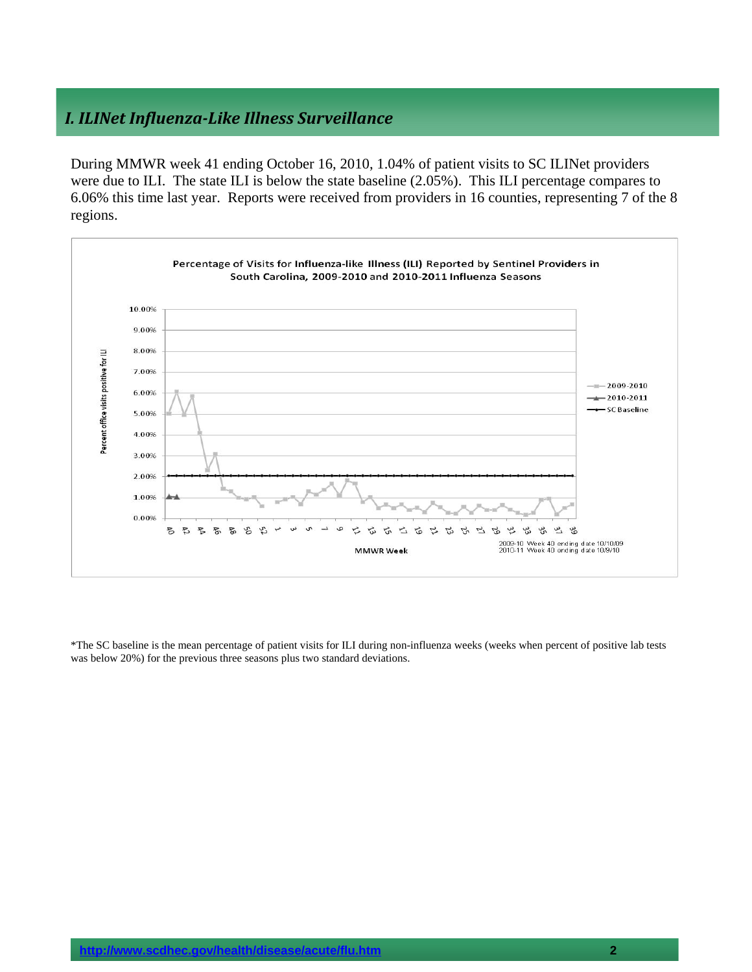## *I. ILINet InfluenzaLike Illness Surveillance*

During MMWR week 41 ending October 16, 2010, 1.04% of patient visits to SC ILINet providers were due to ILI. The state ILI is below the state baseline (2.05%). This ILI percentage compares to 6.06% this time last year. Reports were received from providers in 16 counties, representing 7 of the 8 regions.



\*The SC baseline is the mean percentage of patient visits for ILI during non-influenza weeks (weeks when percent of positive lab tests was below 20%) for the previous three seasons plus two standard deviations.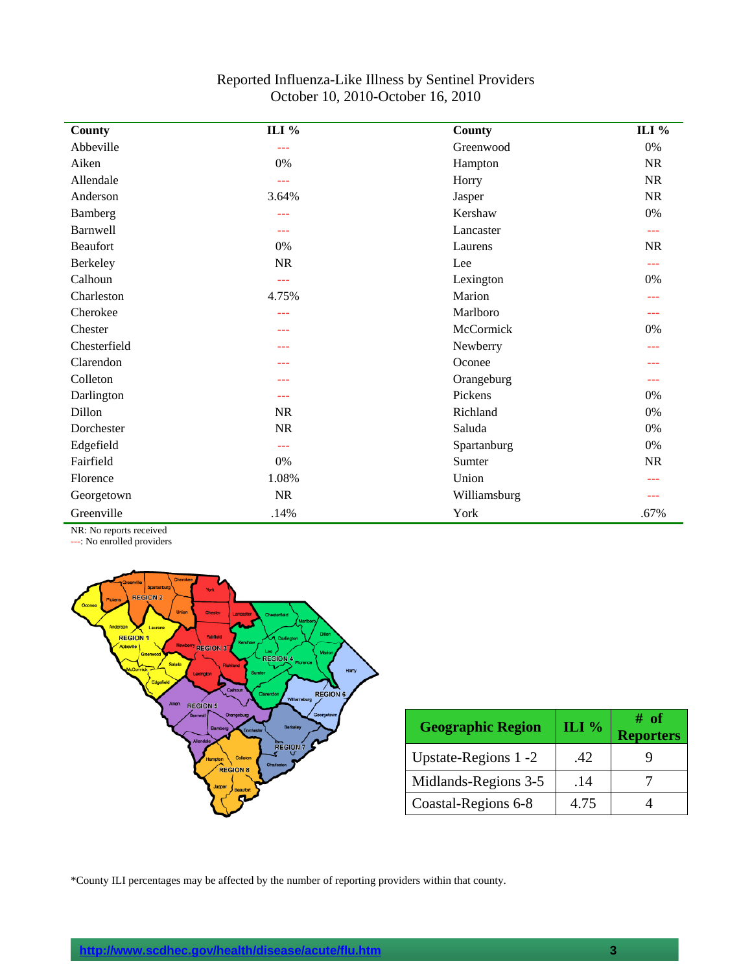| Reported Influenza-Like Illness by Sentinel Providers |
|-------------------------------------------------------|
| October 10, 2010-October 16, 2010                     |

| County          | ILI %     | County       | ILI %     |
|-----------------|-----------|--------------|-----------|
| Abbeville       | $-$       | Greenwood    | $0\%$     |
| Aiken           | 0%        | Hampton      | <b>NR</b> |
| Allendale       | $ -$      | Horry        | NR        |
| Anderson        | 3.64%     | Jasper       | NR        |
| Bamberg         | $---$     | Kershaw      | $0\%$     |
| <b>Barnwell</b> | ---       | Lancaster    | ---       |
| <b>Beaufort</b> | 0%        | Laurens      | <b>NR</b> |
| Berkeley        | $\rm NR$  | Lee          | ---       |
| Calhoun         | $-$       | Lexington    | 0%        |
| Charleston      | 4.75%     | Marion       |           |
| Cherokee        | ---       | Marlboro     | ---       |
| Chester         | ---       | McCormick    | 0%        |
| Chesterfield    | ---       | Newberry     | ---       |
| Clarendon       | ---       | Oconee       |           |
| Colleton        |           | Orangeburg   |           |
| Darlington      | $---$     | Pickens      | 0%        |
| Dillon          | <b>NR</b> | Richland     | 0%        |
| Dorchester      | <b>NR</b> | Saluda       | 0%        |
| Edgefield       | $---$     | Spartanburg  | 0%        |
| Fairfield       | 0%        | Sumter       | NR        |
| Florence        | 1.08%     | Union        |           |
| Georgetown      | <b>NR</b> | Williamsburg |           |
| Greenville      | .14%      | York         | .67%      |

NR: No reports received

---: No enrolled providers



| <b>Geographic Region</b> | ILI $%$ | # of<br><b>Reporters</b> |
|--------------------------|---------|--------------------------|
| Upstate-Regions 1 -2     | .42     |                          |
| Midlands-Regions 3-5     | .14     |                          |
| Coastal-Regions 6-8      | 4.75    |                          |

\*County ILI percentages may be affected by the number of reporting providers within that county.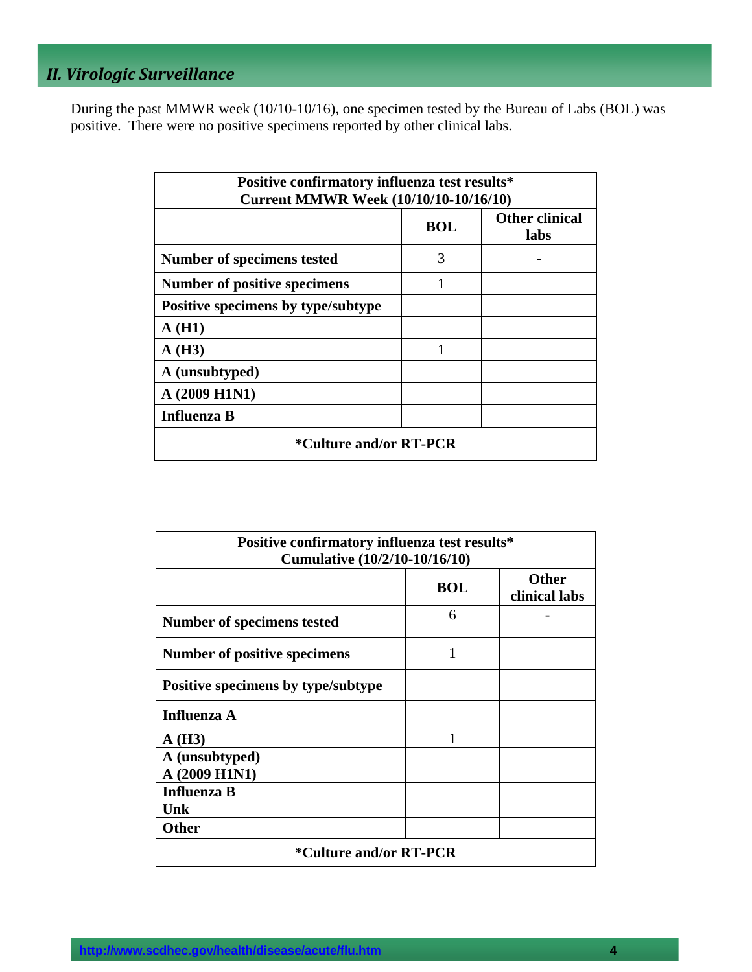# *II. Virologic Surveillance*

During the past MMWR week (10/10-10/16), one specimen tested by the Bureau of Labs (BOL) was positive. There were no positive specimens reported by other clinical labs.

| Positive confirmatory influenza test results*<br><b>Current MMWR Week (10/10/10-10/16/10)</b> |            |                               |  |
|-----------------------------------------------------------------------------------------------|------------|-------------------------------|--|
|                                                                                               | <b>BOL</b> | <b>Other clinical</b><br>labs |  |
| Number of specimens tested                                                                    | 3          |                               |  |
| <b>Number of positive specimens</b>                                                           | 1          |                               |  |
| Positive specimens by type/subtype                                                            |            |                               |  |
| A(H1)                                                                                         |            |                               |  |
| A(H3)                                                                                         | 1          |                               |  |
| A (unsubtyped)                                                                                |            |                               |  |
| A (2009 H1N1)                                                                                 |            |                               |  |
| <b>Influenza B</b>                                                                            |            |                               |  |
| <i>*Culture and/or RT-PCR</i>                                                                 |            |                               |  |

| Positive confirmatory influenza test results*<br>Cumulative (10/2/10-10/16/10) |            |                               |
|--------------------------------------------------------------------------------|------------|-------------------------------|
|                                                                                | <b>BOL</b> | <b>Other</b><br>clinical labs |
| Number of specimens tested                                                     | 6          |                               |
| Number of positive specimens                                                   | 1          |                               |
| Positive specimens by type/subtype                                             |            |                               |
| <b>Influenza A</b>                                                             |            |                               |
| A(H3)                                                                          | 1          |                               |
| A (unsubtyped)                                                                 |            |                               |
| A (2009 H1N1)                                                                  |            |                               |
| <b>Influenza B</b>                                                             |            |                               |
| <b>Unk</b>                                                                     |            |                               |
| <b>Other</b>                                                                   |            |                               |
| <i>*</i> Culture and/or RT-PCR                                                 |            |                               |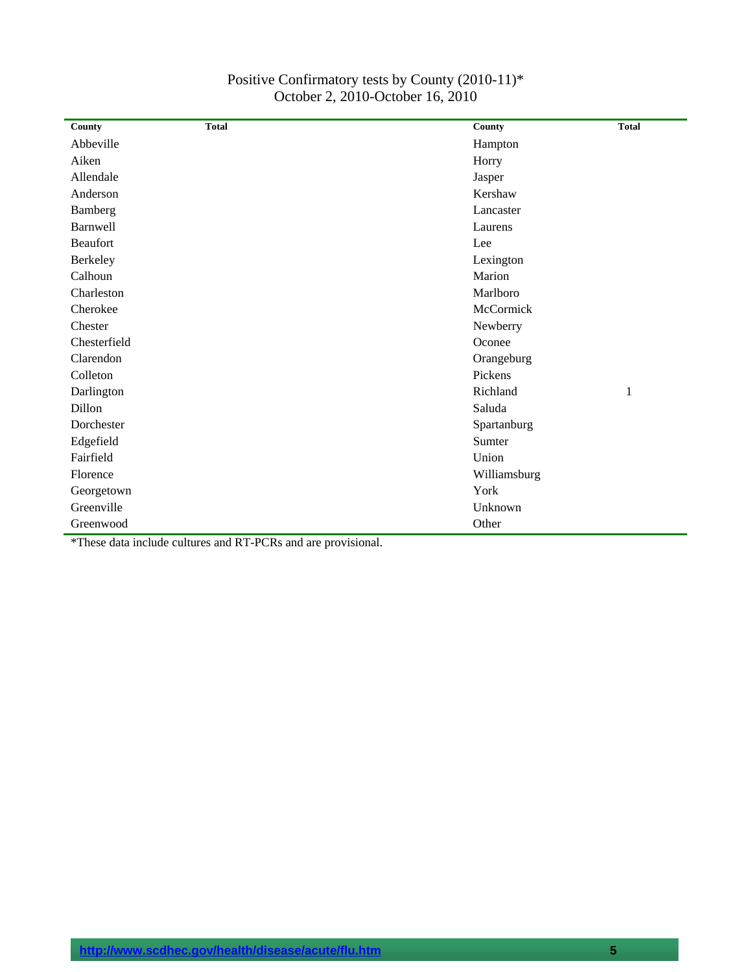| County       | <b>Total</b> | County       | <b>Total</b> |
|--------------|--------------|--------------|--------------|
| Abbeville    |              | Hampton      |              |
| Aiken        |              | Horry        |              |
| Allendale    |              | Jasper       |              |
| Anderson     |              | Kershaw      |              |
| Bamberg      |              | Lancaster    |              |
| Barnwell     |              | Laurens      |              |
| Beaufort     |              | Lee          |              |
| Berkeley     |              | Lexington    |              |
| Calhoun      |              | Marion       |              |
| Charleston   |              | Marlboro     |              |
| Cherokee     |              | McCormick    |              |
| Chester      |              | Newberry     |              |
| Chesterfield |              | Oconee       |              |
| Clarendon    |              | Orangeburg   |              |
| Colleton     |              | Pickens      |              |
| Darlington   |              | Richland     | 1            |
| Dillon       |              | Saluda       |              |
| Dorchester   |              | Spartanburg  |              |
| Edgefield    |              | Sumter       |              |
| Fairfield    |              | Union        |              |
| Florence     |              | Williamsburg |              |
| Georgetown   |              | York         |              |
| Greenville   |              | Unknown      |              |
| Greenwood    |              | Other        |              |

#### Positive Confirmatory tests by County (2010-11)\* October 2, 2010-October 16, 2010

\*These data include cultures and RT-PCRs and are provisional.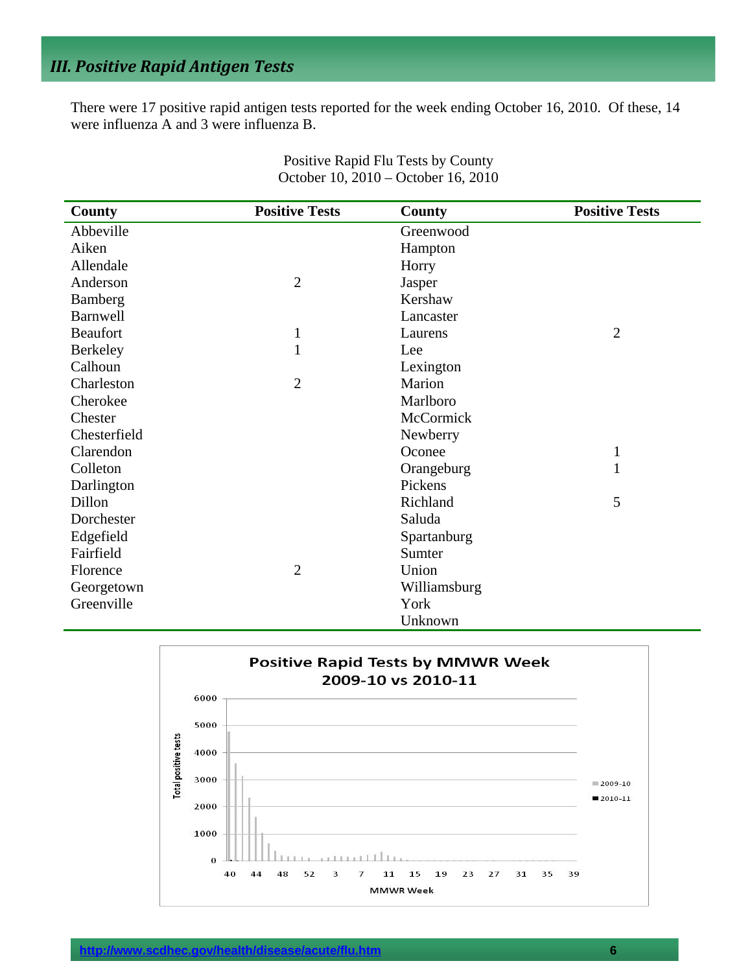# *III. Positive Rapid Antigen Tests*

There were 17 positive rapid antigen tests reported for the week ending October 16, 2010. Of these, 14 were influenza A and 3 were influenza B.

| <b>County</b>   | <b>Positive Tests</b> | <b>County</b> | <b>Positive Tests</b> |
|-----------------|-----------------------|---------------|-----------------------|
| Abbeville       |                       | Greenwood     |                       |
| Aiken           |                       | Hampton       |                       |
| Allendale       |                       | Horry         |                       |
| Anderson        | $\overline{2}$        | Jasper        |                       |
| Bamberg         |                       | Kershaw       |                       |
| <b>Barnwell</b> |                       | Lancaster     |                       |
| <b>Beaufort</b> | $\mathbf 1$           | Laurens       | $\overline{2}$        |
| <b>Berkeley</b> | 1                     | Lee           |                       |
| Calhoun         |                       | Lexington     |                       |
| Charleston      | $\overline{2}$        | Marion        |                       |
| Cherokee        |                       | Marlboro      |                       |
| Chester         |                       | McCormick     |                       |
| Chesterfield    |                       | Newberry      |                       |
| Clarendon       |                       | Oconee        | $\mathbf{1}$          |
| Colleton        |                       | Orangeburg    | 1                     |
| Darlington      |                       | Pickens       |                       |
| Dillon          |                       | Richland      | 5                     |
| Dorchester      |                       | Saluda        |                       |
| Edgefield       |                       | Spartanburg   |                       |
| Fairfield       |                       | Sumter        |                       |
| Florence        | $\overline{2}$        | Union         |                       |
| Georgetown      |                       | Williamsburg  |                       |
| Greenville      |                       | York          |                       |
|                 |                       | Unknown       |                       |

Positive Rapid Flu Tests by County October 10, 2010 – October 16, 2010

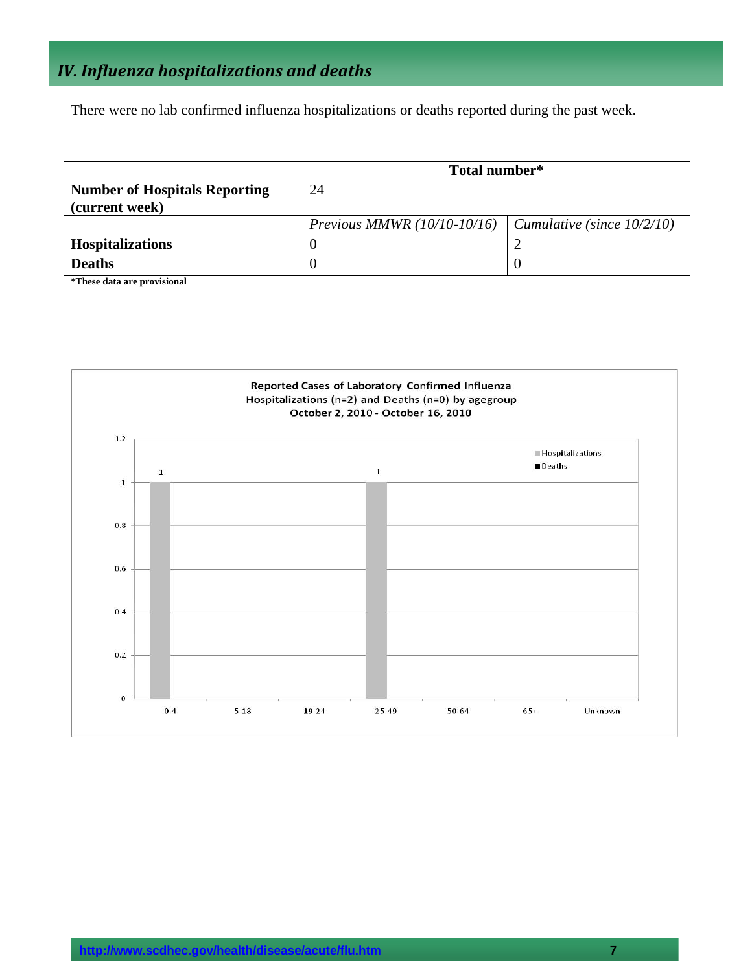# *IV. Influenza hospitalizations and deaths*

There were no lab confirmed influenza hospitalizations or deaths reported during the past week.

|                                                        | Total number*                 |                                   |  |
|--------------------------------------------------------|-------------------------------|-----------------------------------|--|
| <b>Number of Hospitals Reporting</b><br>(current week) | 24                            |                                   |  |
|                                                        | Previous MMWR $(10/10-10/16)$ | $\mid$ Cumulative (since 10/2/10) |  |
| <b>Hospitalizations</b>                                |                               |                                   |  |
| <b>Deaths</b>                                          |                               |                                   |  |

**\*These data are provisional** 

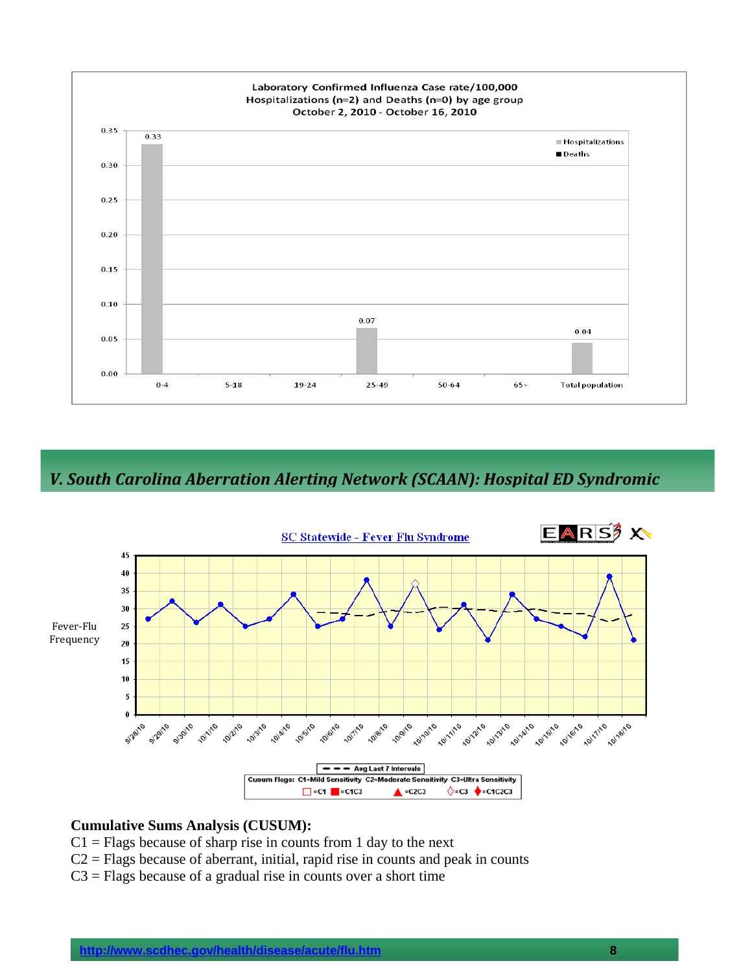

*V. South Carolina Aberration Alerting Network (SCAAN): Hospital ED Syndromic*



#### **Cumulative Sums Analysis (CUSUM):**

- $C1$  = Flags because of sharp rise in counts from 1 day to the next
- $C2$  = Flags because of aberrant, initial, rapid rise in counts and peak in counts
- $C3$  = Flags because of a gradual rise in counts over a short time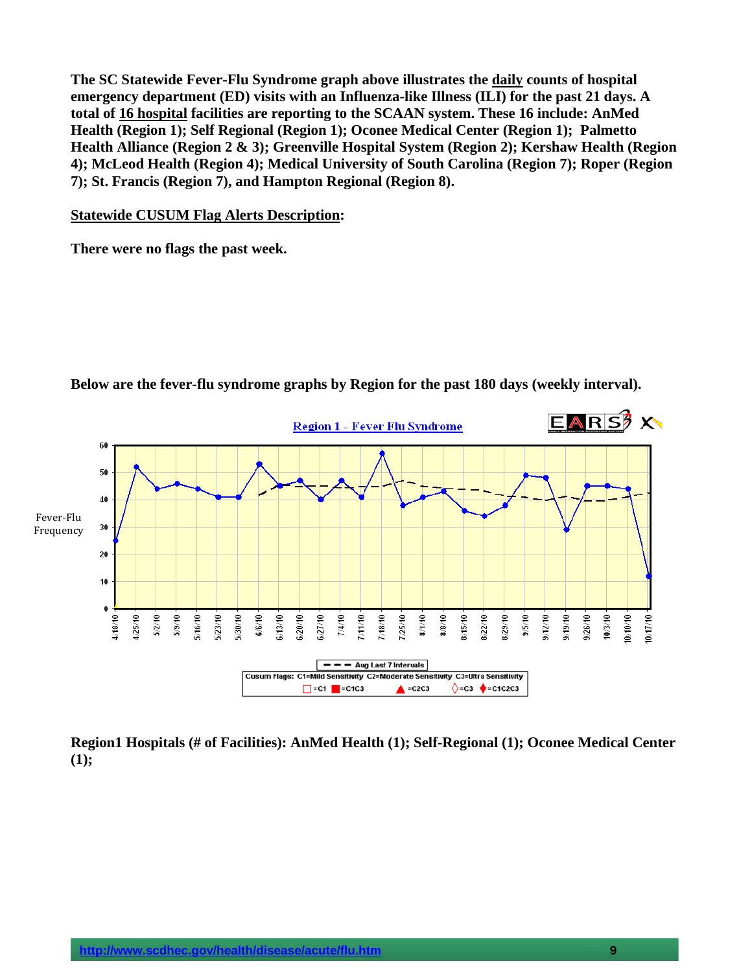**The SC Statewide Fever-Flu Syndrome graph above illustrates the daily counts of hospital emergency department (ED) visits with an Influenza-like Illness (ILI) for the past 21 days. A total of 16 hospital facilities are reporting to the SCAAN system. These 16 include: AnMed Health (Region 1); Self Regional (Region 1); Oconee Medical Center (Region 1); Palmetto Health Alliance (Region 2 & 3); Greenville Hospital System (Region 2); Kershaw Health (Region 4); McLeod Health (Region 4); Medical University of South Carolina (Region 7); Roper (Region 7); St. Francis (Region 7), and Hampton Regional (Region 8).** 

**Statewide CUSUM Flag Alerts Description:** 

**There were no flags the past week.** 



**Below are the fever-flu syndrome graphs by Region for the past 180 days (weekly interval).** 

**Region1 Hospitals (# of Facilities): AnMed Health (1); Self-Regional (1); Oconee Medical Center (1);**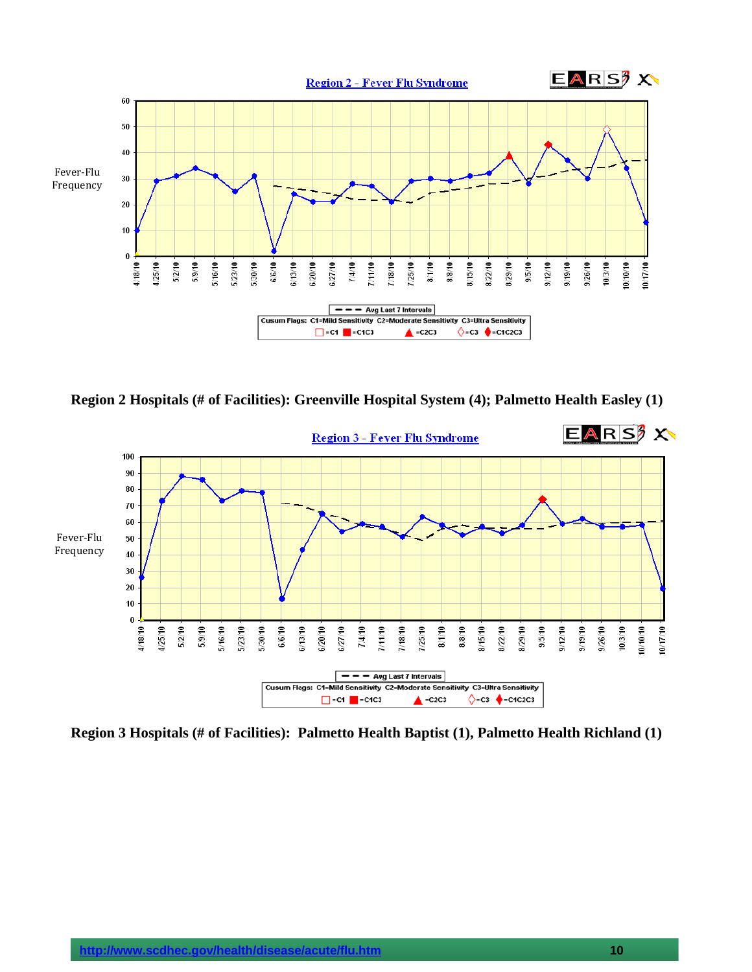

**Region 2 Hospitals (# of Facilities): Greenville Hospital System (4); Palmetto Health Easley (1)** 



**Region 3 Hospitals (# of Facilities): Palmetto Health Baptist (1), Palmetto Health Richland (1)**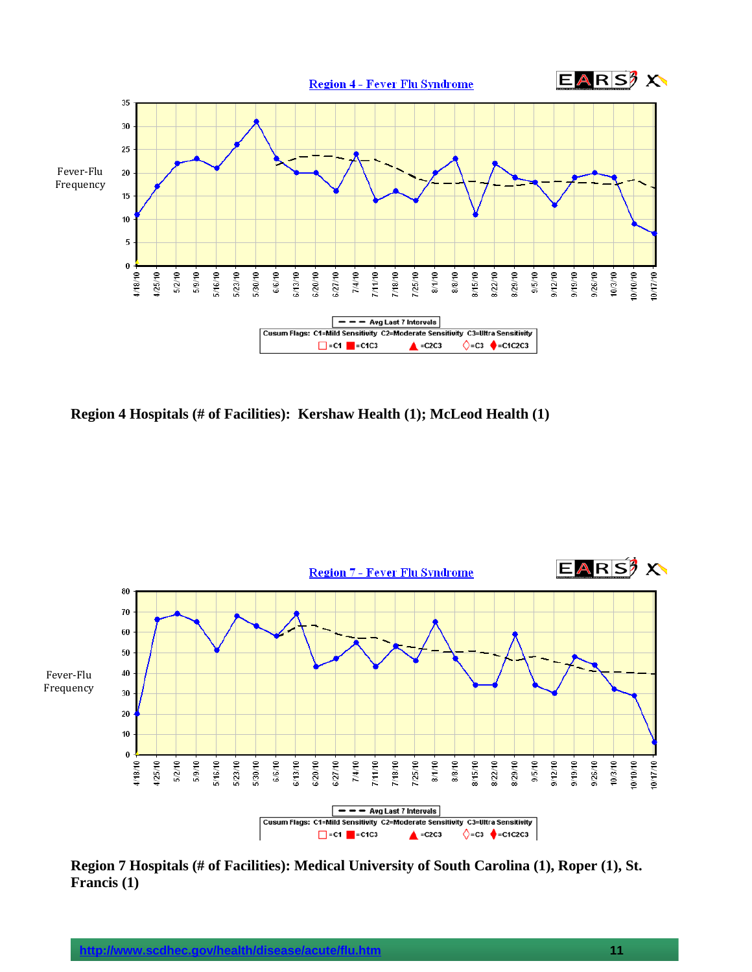

**Region 4 Hospitals (# of Facilities): Kershaw Health (1); McLeod Health (1)** 



**Region 7 Hospitals (# of Facilities): Medical University of South Carolina (1), Roper (1), St. Francis (1)**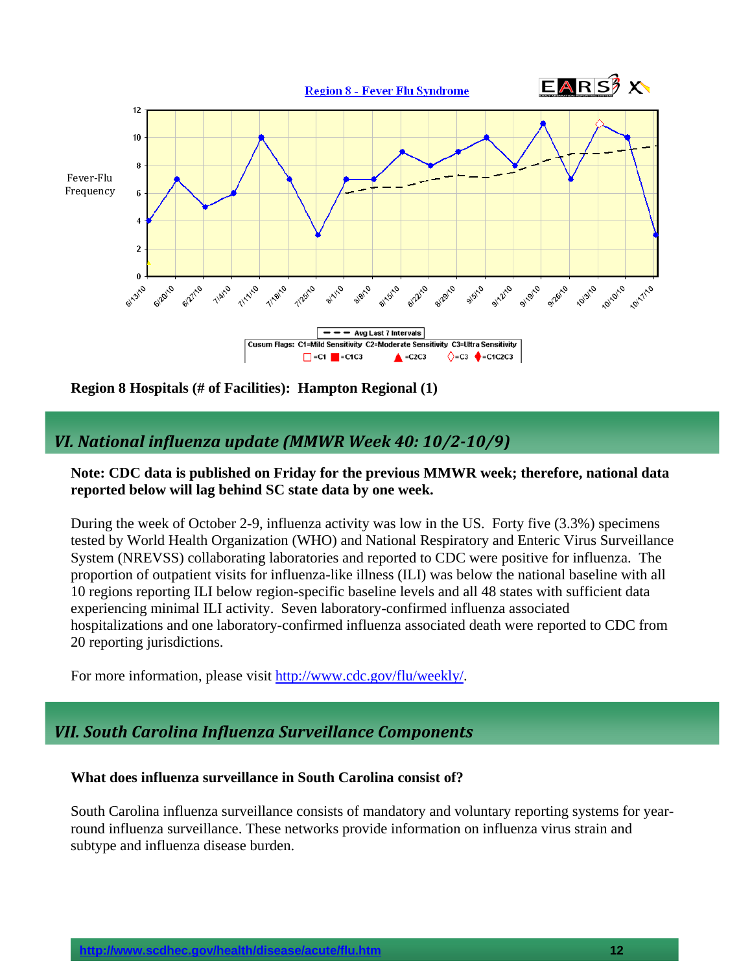

**Region 8 Hospitals (# of Facilities): Hampton Regional (1)** 

### *VI. National influenza update (MMWR Week 40: 10/210/9)*

### **Note: CDC data is published on Friday for the previous MMWR week; therefore, national data reported below will lag behind SC state data by one week.**

During the week of October 2-9, influenza activity was low in the US. Forty five (3.3%) specimens tested by World Health Organization (WHO) and National Respiratory and Enteric Virus Surveillance System (NREVSS) collaborating laboratories and reported to CDC were positive for influenza. The proportion of outpatient visits for influenza-like illness (ILI) was below the national baseline with all 10 regions reporting ILI below region-specific baseline levels and all 48 states with sufficient data experiencing minimal ILI activity. Seven laboratory-confirmed influenza associated hospitalizations and one laboratory-confirmed influenza associated death were reported to CDC from 20 reporting jurisdictions.

For more information, please visit [http://www.cdc.gov/flu/weekly/.](http://www.cdc.gov/flu/weekly/)

### *VII. South Carolina Influenza Surveillance Components*

#### **What does influenza surveillance in South Carolina consist of?**

South Carolina influenza surveillance consists of mandatory and voluntary reporting systems for yearround influenza surveillance. These networks provide information on influenza virus strain and subtype and influenza disease burden.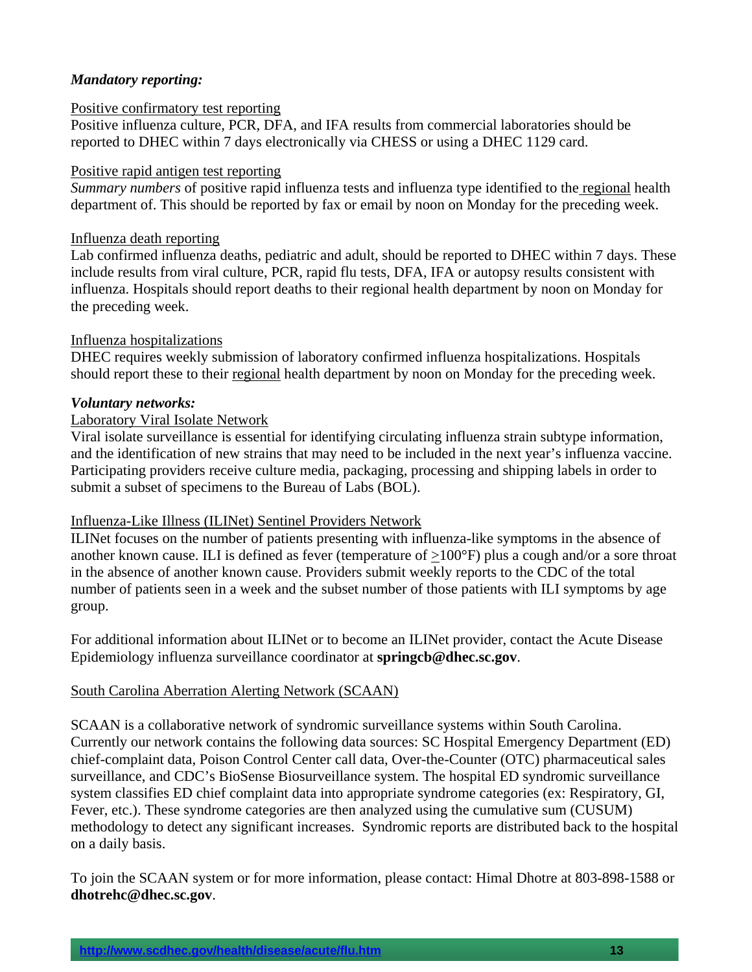### *Mandatory reporting:*

#### Positive confirmatory test reporting

Positive influenza culture, PCR, DFA, and IFA results from commercial laboratories should be reported to DHEC within 7 days electronically via CHESS or using a DHEC 1129 card.

#### Positive rapid antigen test reporting

*Summary numbers* of positive rapid influenza tests and influenza type identified to the regional health department of. This should be reported by fax or email by noon on Monday for the preceding week.

#### Influenza death reporting

Lab confirmed influenza deaths, pediatric and adult, should be reported to DHEC within 7 days. These include results from viral culture, PCR, rapid flu tests, DFA, IFA or autopsy results consistent with influenza. Hospitals should report deaths to their regional health department by noon on Monday for the preceding week.

#### Influenza hospitalizations

DHEC requires weekly submission of laboratory confirmed influenza hospitalizations. Hospitals should report these to their regional health department by noon on Monday for the preceding week.

#### *Voluntary networks:*

#### Laboratory Viral Isolate Network

Viral isolate surveillance is essential for identifying circulating influenza strain subtype information, and the identification of new strains that may need to be included in the next year's influenza vaccine. Participating providers receive culture media, packaging, processing and shipping labels in order to submit a subset of specimens to the Bureau of Labs (BOL).

#### Influenza-Like Illness (ILINet) Sentinel Providers Network

ILINet focuses on the number of patients presenting with influenza-like symptoms in the absence of another known cause. ILI is defined as fever (temperature of >100°F) plus a cough and/or a sore throat in the absence of another known cause. Providers submit weekly reports to the CDC of the total number of patients seen in a week and the subset number of those patients with ILI symptoms by age group.

For additional information about ILINet or to become an ILINet provider, contact the Acute Disease Epidemiology influenza surveillance coordinator at **springcb@dhec.sc.gov**.

#### South Carolina Aberration Alerting Network (SCAAN)

SCAAN is a collaborative network of syndromic surveillance systems within South Carolina. Currently our network contains the following data sources: SC Hospital Emergency Department (ED) chief-complaint data, Poison Control Center call data, Over-the-Counter (OTC) pharmaceutical sales surveillance, and CDC's BioSense Biosurveillance system. The hospital ED syndromic surveillance system classifies ED chief complaint data into appropriate syndrome categories (ex: Respiratory, GI, Fever, etc.). These syndrome categories are then analyzed using the cumulative sum (CUSUM) methodology to detect any significant increases. Syndromic reports are distributed back to the hospital on a daily basis.

To join the SCAAN system or for more information, please contact: Himal Dhotre at 803-898-1588 or **dhotrehc@dhec.sc.gov**.